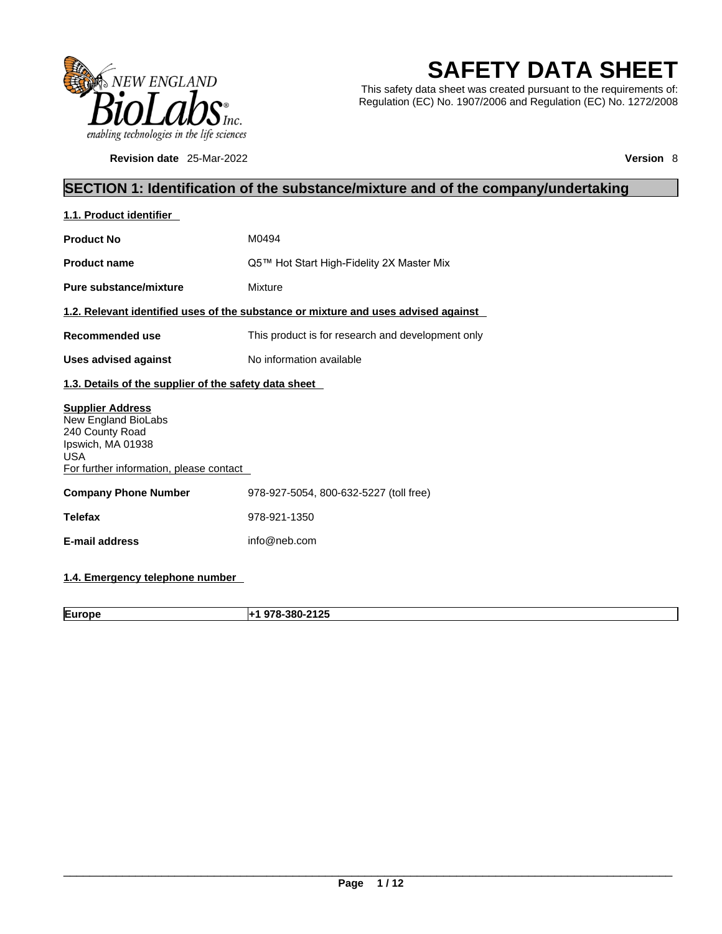

**Revision date** 25-Mar-2022 **Version** 8

# **SAFETY DATA SHEET**

This safety data sheet was created pursuant to the requirements of: Regulation (EC) No. 1907/2006 and Regulation (EC) No. 1272/2008

# **SECTION 1: Identification of the substance/mixture and of the company/undertaking**

| M0494                                                                              |
|------------------------------------------------------------------------------------|
| Q5™ Hot Start High-Fidelity 2X Master Mix                                          |
| Mixture                                                                            |
| 1.2. Relevant identified uses of the substance or mixture and uses advised against |
| This product is for research and development only                                  |
| No information available                                                           |
| 1.3. Details of the supplier of the safety data sheet                              |
| For further information, please contact                                            |
| 978-927-5054, 800-632-5227 (toll free)                                             |
| 978-921-1350                                                                       |
| info@neb.com                                                                       |
|                                                                                    |

### **1.4. Emergency telephone number**

**Europe +1 978-380-2125**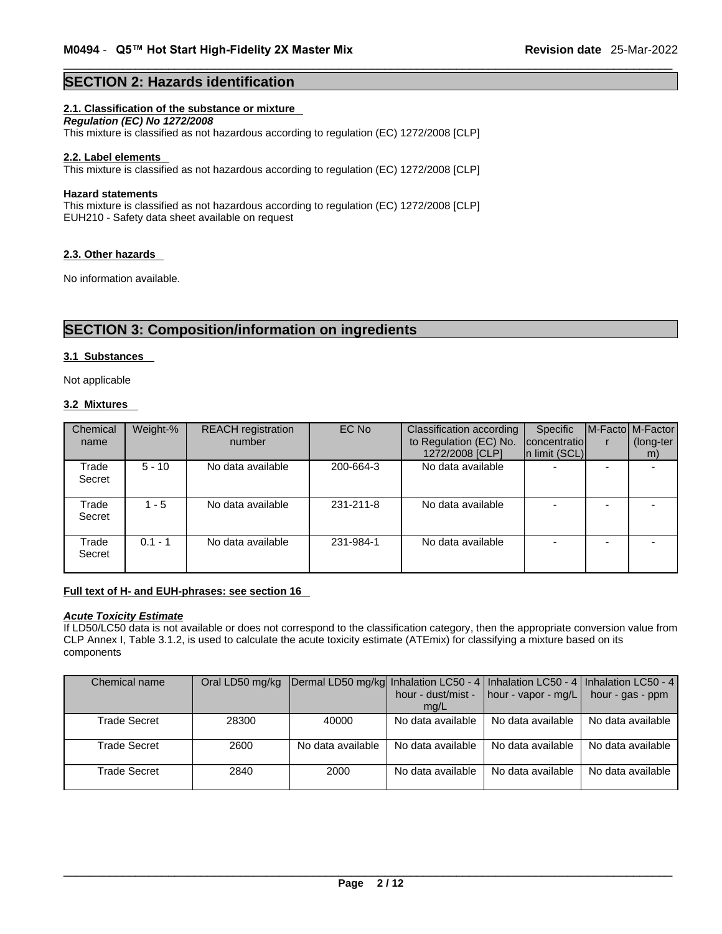### **SECTION 2: Hazards identification**

#### **2.1. Classification of the substance or mixture**

*Regulation (EC) No 1272/2008*  This mixture is classified as not hazardous according to regulation (EC) 1272/2008 [CLP]

#### **2.2. Label elements**

This mixture is classified as not hazardous according to regulation (EC) 1272/2008 [CLP]

#### **Hazard statements**

This mixture is classified as not hazardous according to regulation (EC) 1272/2008 [CLP] EUH210 - Safety data sheet available on request

#### **2.3. Other hazards**

No information available.

### **SECTION 3: Composition/information on ingredients**

#### **3.1 Substances**

Not applicable

#### **3.2 Mixtures**

| Chemical<br>name | Weight-%  | <b>REACH</b> registration<br>number | EC No     | <b>Classification according</b><br>to Regulation (EC) No.<br>1272/2008 [CLP] | Specific<br>concentratio<br>$\ln$ limit (SCL) | M-Facto M-Factor<br>(long-ter<br>m) |
|------------------|-----------|-------------------------------------|-----------|------------------------------------------------------------------------------|-----------------------------------------------|-------------------------------------|
| Trade<br>Secret  | $5 - 10$  | No data available                   | 200-664-3 | No data available                                                            | -                                             |                                     |
| Trade<br>Secret  | $1 - 5$   | No data available                   | 231-211-8 | No data available                                                            |                                               |                                     |
| Trade<br>Secret  | $0.1 - 1$ | No data available                   | 231-984-1 | No data available                                                            |                                               |                                     |

#### **Full text of H- and EUH-phrases: see section 16**

### *Acute Toxicity Estimate*

If LD50/LC50 data is not available or does not correspond to the classification category, then the appropriate conversion value from CLP Annex I, Table 3.1.2, is used to calculate the acute toxicity estimate (ATEmix) for classifying a mixture based on its components

| Chemical name |       | Oral LD50 mg/kg   Dermal LD50 mg/kg  Inhalation LC50 - 4   Inhalation LC50 - 4   Inhalation LC50 - 4 |                    |                                     |                   |
|---------------|-------|------------------------------------------------------------------------------------------------------|--------------------|-------------------------------------|-------------------|
|               |       |                                                                                                      | hour - dust/mist - | $\vert$ hour - vapor - mg/L $\vert$ | hour - gas - ppm  |
|               |       |                                                                                                      | mq/L               |                                     |                   |
| Trade Secret  | 28300 | 40000                                                                                                | No data available  | No data available                   | No data available |
|               |       |                                                                                                      |                    |                                     |                   |
| Trade Secret  | 2600  | No data available                                                                                    | No data available  | No data available                   | No data available |
|               |       |                                                                                                      |                    |                                     |                   |
| Trade Secret  | 2840  | 2000                                                                                                 | No data available  | No data available                   | No data available |
|               |       |                                                                                                      |                    |                                     |                   |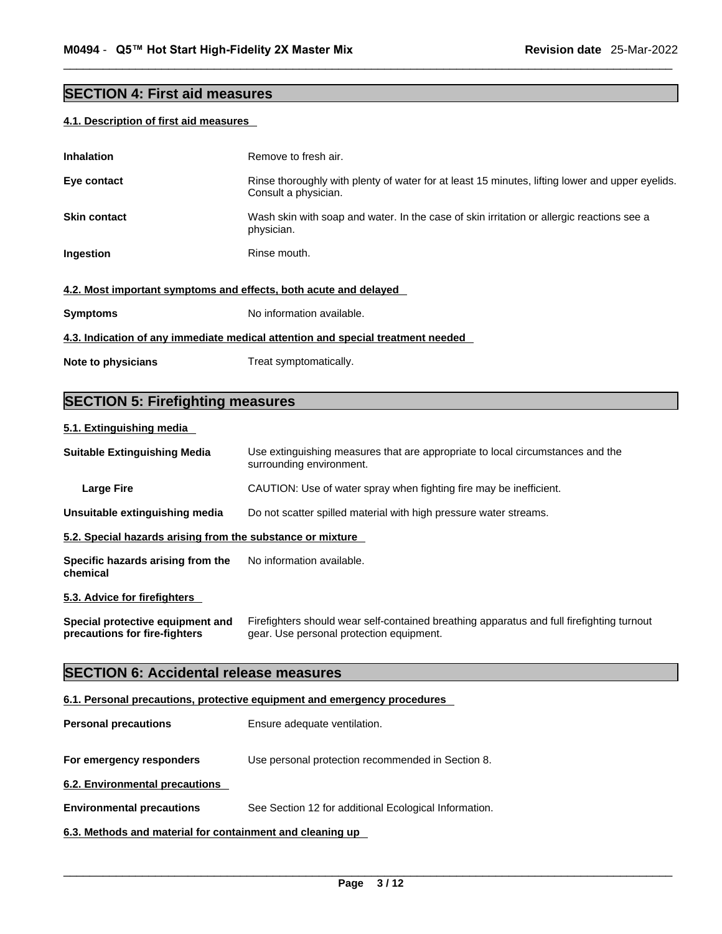# **SECTION 4: First aid measures**

### **4.1. Description of first aid measures**

| <b>Inhalation</b>                                                               | Remove to fresh air.                                                                                                    |  |  |  |  |
|---------------------------------------------------------------------------------|-------------------------------------------------------------------------------------------------------------------------|--|--|--|--|
| Eye contact                                                                     | Rinse thoroughly with plenty of water for at least 15 minutes, lifting lower and upper eyelids.<br>Consult a physician. |  |  |  |  |
| <b>Skin contact</b>                                                             | Wash skin with soap and water. In the case of skin irritation or allergic reactions see a<br>physician.                 |  |  |  |  |
| Ingestion                                                                       | Rinse mouth.                                                                                                            |  |  |  |  |
| 4.2. Most important symptoms and effects, both acute and delayed                |                                                                                                                         |  |  |  |  |
| <b>Symptoms</b>                                                                 | No information available.                                                                                               |  |  |  |  |
| 4.3. Indication of any immediate medical attention and special treatment needed |                                                                                                                         |  |  |  |  |
| Note to physicians                                                              | Treat symptomatically.                                                                                                  |  |  |  |  |
|                                                                                 |                                                                                                                         |  |  |  |  |

# **SECTION 5: Firefighting measures**

### **5.1. Extinguishing media**

| <b>Suitable Extinguishing Media</b>                                      | Use extinguishing measures that are appropriate to local circumstances and the<br>surrounding environment.                            |  |  |  |  |
|--------------------------------------------------------------------------|---------------------------------------------------------------------------------------------------------------------------------------|--|--|--|--|
| <b>Large Fire</b>                                                        | CAUTION: Use of water spray when fighting fire may be inefficient.                                                                    |  |  |  |  |
| Unsuitable extinguishing media                                           | Do not scatter spilled material with high pressure water streams.                                                                     |  |  |  |  |
| 5.2. Special hazards arising from the substance or mixture               |                                                                                                                                       |  |  |  |  |
| Specific hazards arising from the<br>chemical                            | No information available.                                                                                                             |  |  |  |  |
| 5.3. Advice for firefighters                                             |                                                                                                                                       |  |  |  |  |
| Special protective equipment and<br>precautions for fire-fighters        | Firefighters should wear self-contained breathing apparatus and full firefighting turnout<br>gear. Use personal protection equipment. |  |  |  |  |
| <b>SECTION 6: Accidental release measures</b>                            |                                                                                                                                       |  |  |  |  |
| 6.1. Personal precautions, protective equipment and emergency procedures |                                                                                                                                       |  |  |  |  |

| <b>Personal precautions</b>                               | Ensure adequate ventilation.                          |
|-----------------------------------------------------------|-------------------------------------------------------|
| For emergency responders                                  | Use personal protection recommended in Section 8.     |
| 6.2. Environmental precautions                            |                                                       |
| <b>Environmental precautions</b>                          | See Section 12 for additional Ecological Information. |
| 6.3. Methods and material for containment and cleaning up |                                                       |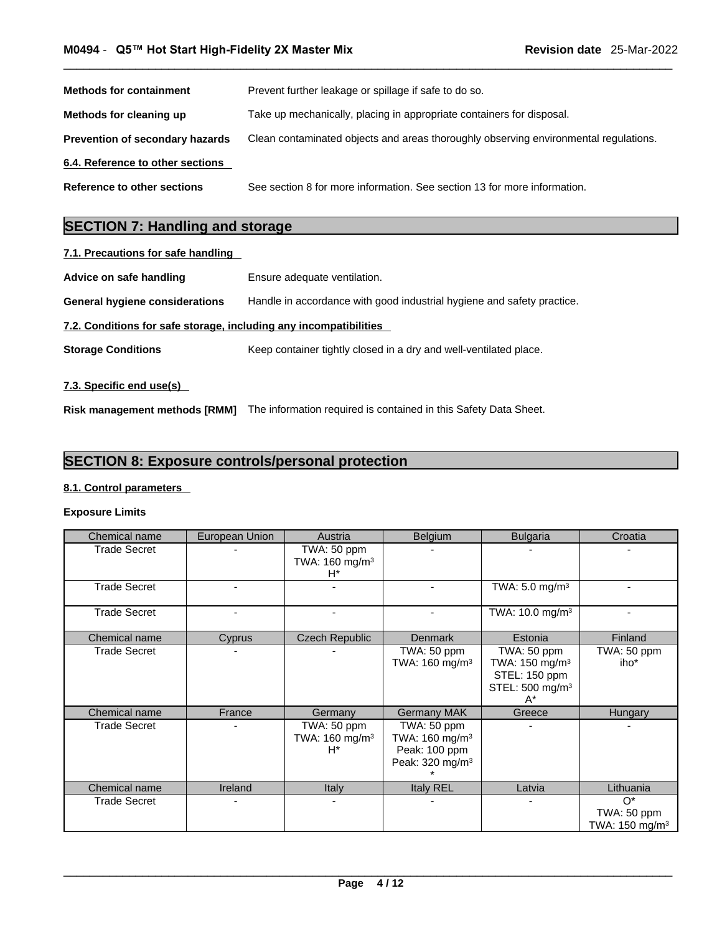| <b>Methods for containment</b>         | Prevent further leakage or spillage if safe to do so.                                |
|----------------------------------------|--------------------------------------------------------------------------------------|
| Methods for cleaning up                | Take up mechanically, placing in appropriate containers for disposal.                |
| <b>Prevention of secondary hazards</b> | Clean contaminated objects and areas thoroughly observing environmental regulations. |
| 6.4. Reference to other sections       |                                                                                      |
| Reference to other sections            | See section 8 for more information. See section 13 for more information.             |

# **SECTION 7: Handling and storage**

| 7.1. Precautions for safe handling                                |                                                                        |
|-------------------------------------------------------------------|------------------------------------------------------------------------|
| Advice on safe handling                                           | Ensure adequate ventilation.                                           |
| <b>General hygiene considerations</b>                             | Handle in accordance with good industrial hygiene and safety practice. |
| 7.2. Conditions for safe storage, including any incompatibilities |                                                                        |
| <b>Storage Conditions</b>                                         | Keep container tightly closed in a dry and well-ventilated place.      |
|                                                                   |                                                                        |

### **7.3. Specific end use(s)**

**Risk management methods [RMM]** The information required is contained in this Safety Data Sheet.

# **SECTION 8: Exposure controls/personal protection**

#### **8.1. Control parameters**

#### **Exposure Limits**

| Chemical name       | European Union           | Austria                                            | Belgium                                                                                  | <b>Bulgaria</b>                                                                                    | Croatia                                           |
|---------------------|--------------------------|----------------------------------------------------|------------------------------------------------------------------------------------------|----------------------------------------------------------------------------------------------------|---------------------------------------------------|
| <b>Trade Secret</b> |                          | TWA: 50 ppm<br>TWA: 160 mg/m <sup>3</sup><br>$H^*$ |                                                                                          |                                                                                                    |                                                   |
| <b>Trade Secret</b> |                          | ٠                                                  |                                                                                          | TWA: 5.0 mg/m <sup>3</sup>                                                                         |                                                   |
| <b>Trade Secret</b> | $\overline{\phantom{0}}$ | $\blacksquare$                                     |                                                                                          | TWA: 10.0 mg/m <sup>3</sup>                                                                        |                                                   |
| Chemical name       | <b>Cyprus</b>            | <b>Czech Republic</b>                              | <b>Denmark</b>                                                                           | Estonia                                                                                            | Finland                                           |
| <b>Trade Secret</b> |                          |                                                    | TWA: 50 ppm<br>TWA: 160 mg/m <sup>3</sup>                                                | TWA: 50 ppm<br>TWA: 150 mg/m <sup>3</sup><br>STEL: 150 ppm<br>STEL: 500 mg/m <sup>3</sup><br>$A^*$ | TWA: 50 ppm<br>iho*                               |
| Chemical name       | France                   | Germany                                            | <b>Germany MAK</b>                                                                       | Greece                                                                                             | Hungary                                           |
| <b>Trade Secret</b> |                          | TWA: 50 ppm<br>TWA: $160 \text{ mg/m}^3$<br>$H^*$  | TWA: 50 ppm<br>TWA: $160 \text{ mg/m}^3$<br>Peak: 100 ppm<br>Peak: 320 mg/m <sup>3</sup> |                                                                                                    |                                                   |
| Chemical name       | Ireland                  | <b>Italy</b>                                       | <b>Italy REL</b>                                                                         | Latvia                                                                                             | Lithuania                                         |
| <b>Trade Secret</b> |                          | $\blacksquare$                                     |                                                                                          |                                                                                                    | $O^*$<br>TWA: 50 ppm<br>TWA: $150 \text{ mg/m}^3$ |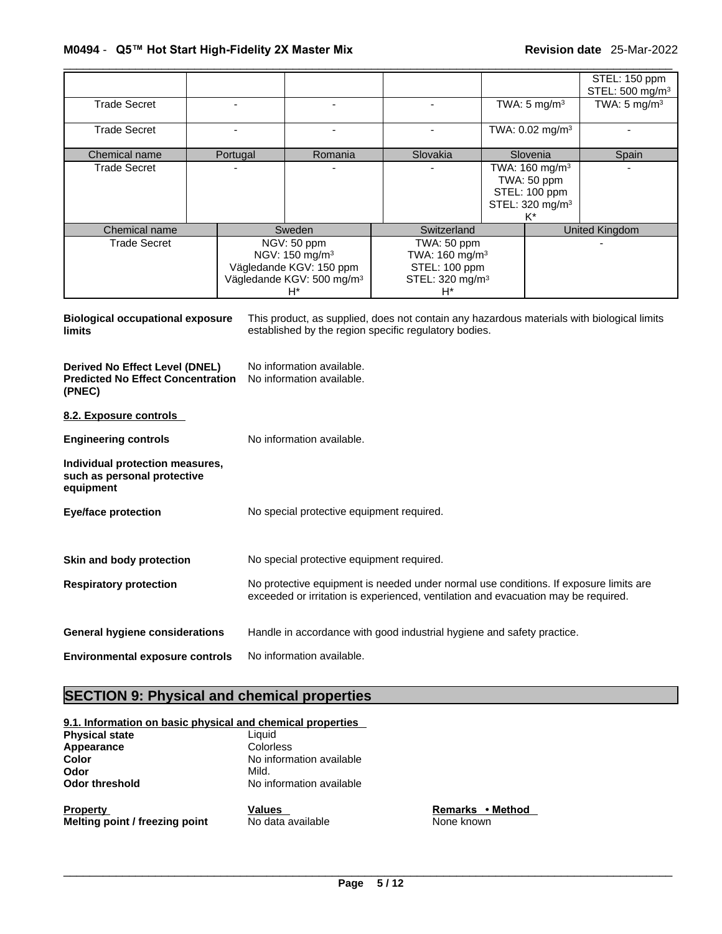|                     |          |                                                                                                                        |                                                                                                 |                                                                                                 | STEL: 150 ppm<br>STEL: 500 mg/m <sup>3</sup> |
|---------------------|----------|------------------------------------------------------------------------------------------------------------------------|-------------------------------------------------------------------------------------------------|-------------------------------------------------------------------------------------------------|----------------------------------------------|
| <b>Trade Secret</b> |          |                                                                                                                        |                                                                                                 | TWA: $5 \text{ mg/m}^3$                                                                         | TWA: $5 \text{ mg/m}^3$                      |
| <b>Trade Secret</b> |          |                                                                                                                        |                                                                                                 | TWA: 0.02 mg/m <sup>3</sup>                                                                     |                                              |
| Chemical name       | Portugal | Romania                                                                                                                | Slovakia                                                                                        | Slovenia                                                                                        | Spain                                        |
| <b>Trade Secret</b> |          |                                                                                                                        |                                                                                                 | TWA: 160 mg/m <sup>3</sup><br>TWA: 50 ppm<br>STEL: 100 ppm<br>STEL: 320 mg/m <sup>3</sup><br>K* |                                              |
| Chemical name       |          | Sweden                                                                                                                 | Switzerland                                                                                     |                                                                                                 | <b>United Kingdom</b>                        |
| <b>Trade Secret</b> |          | NGV: 50 ppm<br>NGV: 150 mg/m <sup>3</sup><br>Vägledande KGV: 150 ppm<br>Vägledande KGV: 500 mg/m <sup>3</sup><br>$H^*$ | TWA: 50 ppm<br>TWA: 160 mg/m <sup>3</sup><br>STEL: 100 ppm<br>STEL: 320 mg/m <sup>3</sup><br>H* |                                                                                                 |                                              |

**Biological occupational exposure limits** This product, as supplied, does not contain any hazardous materials with biological limits established by the region specific regulatory bodies.

**Derived No Effect Level (DNEL)** No information available. **Predicted No Effect Concentration (PNEC)**  No information available.

**8.2. Exposure controls** 

| <b>Engineering controls</b>                                                 | No information available.                                                                                                                                                   |
|-----------------------------------------------------------------------------|-----------------------------------------------------------------------------------------------------------------------------------------------------------------------------|
| Individual protection measures,<br>such as personal protective<br>equipment |                                                                                                                                                                             |
| <b>Eye/face protection</b>                                                  | No special protective equipment required.                                                                                                                                   |
| Skin and body protection                                                    | No special protective equipment required.                                                                                                                                   |
| <b>Respiratory protection</b>                                               | No protective equipment is needed under normal use conditions. If exposure limits are<br>exceeded or irritation is experienced, ventilation and evacuation may be required. |
| <b>General hygiene considerations</b>                                       | Handle in accordance with good industrial hygiene and safety practice.                                                                                                      |
| <b>Environmental exposure controls</b>                                      | No information available.                                                                                                                                                   |

# **SECTION 9: Physical and chemical properties**

|                       | 9.1. Information on basic physical and chemical properties |
|-----------------------|------------------------------------------------------------|
| <b>Physical state</b> | Liauid                                                     |
| Appearance            | Colorless                                                  |
| Color                 | No information available                                   |
| Odor                  | Mild.                                                      |
| Odor threshold        | No information available                                   |
|                       |                                                            |

**Property CONS Property Property PEC <b>REMARKS • Method Melting point / freezing point** No data available None known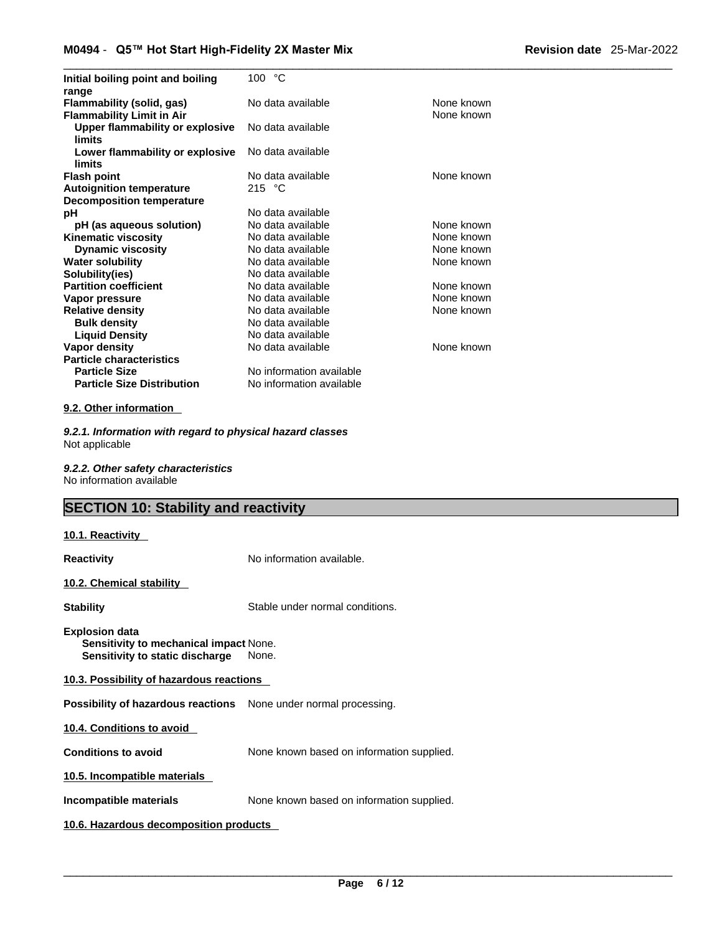| Initial boiling point and boiling<br>range                    | 100 °C                   |                          |
|---------------------------------------------------------------|--------------------------|--------------------------|
| Flammability (solid, gas)<br><b>Flammability Limit in Air</b> | No data available        | None known<br>None known |
| Upper flammability or explosive<br>limits                     | No data available        |                          |
| Lower flammability or explosive<br>limits                     | No data available        |                          |
| <b>Flash point</b>                                            | No data available        | None known               |
| <b>Autoignition temperature</b>                               | 215 $\degree$ C          |                          |
| <b>Decomposition temperature</b>                              |                          |                          |
| рH                                                            | No data available        |                          |
| pH (as aqueous solution)                                      | No data available        | None known               |
| <b>Kinematic viscosity</b>                                    | No data available        | None known               |
| <b>Dynamic viscosity</b>                                      | No data available        | None known               |
| <b>Water solubility</b>                                       | No data available        | None known               |
| Solubility(ies)                                               | No data available        |                          |
| <b>Partition coefficient</b>                                  | No data available        | None known               |
| Vapor pressure                                                | No data available        | None known               |
| <b>Relative density</b>                                       | No data available        | None known               |
| <b>Bulk density</b>                                           | No data available        |                          |
| <b>Liquid Density</b>                                         | No data available        |                          |
| Vapor density                                                 | No data available        | None known               |
| <b>Particle characteristics</b>                               |                          |                          |
| <b>Particle Size</b>                                          | No information available |                          |
| <b>Particle Size Distribution</b>                             | No information available |                          |

#### **9.2. Other information**

*9.2.1. Information with regard to physical hazard classes* Not applicable

*9.2.2. Other safety characteristics* No information available

# **SECTION 10: Stability and reactivity**

#### **10.1. Reactivity**

| <b>Reactivity</b>                                                                                         | No information available.                 |
|-----------------------------------------------------------------------------------------------------------|-------------------------------------------|
| 10.2. Chemical stability                                                                                  |                                           |
| <b>Stability</b>                                                                                          | Stable under normal conditions.           |
| <b>Explosion data</b><br><b>Sensitivity to mechanical impact None.</b><br>Sensitivity to static discharge | None.                                     |
| 10.3. Possibility of hazardous reactions                                                                  |                                           |
| <b>Possibility of hazardous reactions</b> None under normal processing.                                   |                                           |
| 10.4. Conditions to avoid                                                                                 |                                           |
| <b>Conditions to avoid</b>                                                                                | None known based on information supplied. |
| 10.5. Incompatible materials                                                                              |                                           |
| Incompatible materials                                                                                    | None known based on information supplied. |
| 10.6. Hazardous decomposition products                                                                    |                                           |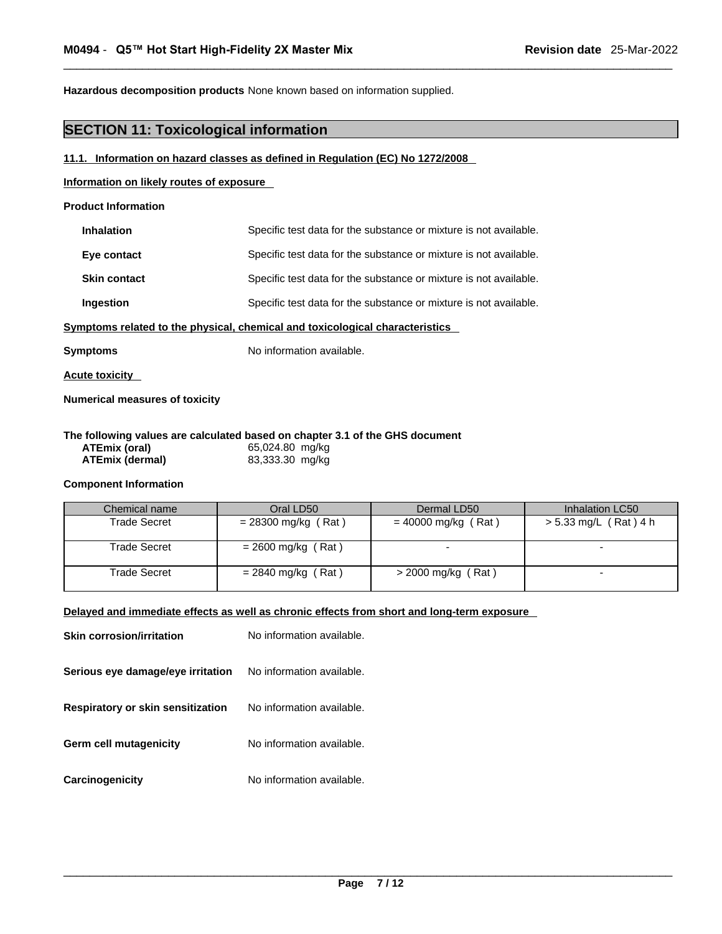**Hazardous decomposition products** None known based on information supplied.

# **SECTION 11: Toxicological information**

#### **11.1. Information on hazard classes as defined in Regulation (EC) No 1272/2008**

#### **Information on likely routes of exposure**

#### **Product Information**

| <b>Inhalation</b>   | Specific test data for the substance or mixture is not available. |
|---------------------|-------------------------------------------------------------------|
| Eye contact         | Specific test data for the substance or mixture is not available. |
| <b>Skin contact</b> | Specific test data for the substance or mixture is not available. |
| Ingestion           | Specific test data for the substance or mixture is not available. |
|                     |                                                                   |

#### **<u>Symptoms related to the physical, chemical and toxicological characteristics</u>**

**Symptoms** No information available.

**Acute toxicity** 

**Numerical measures of toxicity**

#### **The following values are calculated based on chapter 3.1 of the GHS document ATEmix (oral)** 65,024.80 mg/kg

| ATEmix (oral)   | 65,024.80 mg/kg |  |
|-----------------|-----------------|--|
| ATEmix (dermal) | 83,333.30 mg/kg |  |

#### **Component Information**

| Chemical name | Oral LD50             | Dermal LD50           | Inhalation LC50       |
|---------------|-----------------------|-----------------------|-----------------------|
| Trade Secret  | $= 28300$ mg/kg (Rat) | $= 40000$ mg/kg (Rat) | > 5.33 mg/L (Rat) 4 h |
| Trade Secret  | $= 2600$ mg/kg (Rat)  |                       |                       |
| Trade Secret  | $= 2840$ mg/kg (Rat)  | $>$ 2000 mg/kg (Rat)  |                       |

#### **Delayed and immediate effects as well as chronic effects from short and long-term exposure**

| <b>Skin corrosion/irritation</b>         | No information available. |
|------------------------------------------|---------------------------|
| Serious eye damage/eye irritation        | No information available. |
| <b>Respiratory or skin sensitization</b> | No information available. |
| Germ cell mutagenicity                   | No information available. |
| Carcinogenicity                          | No information available. |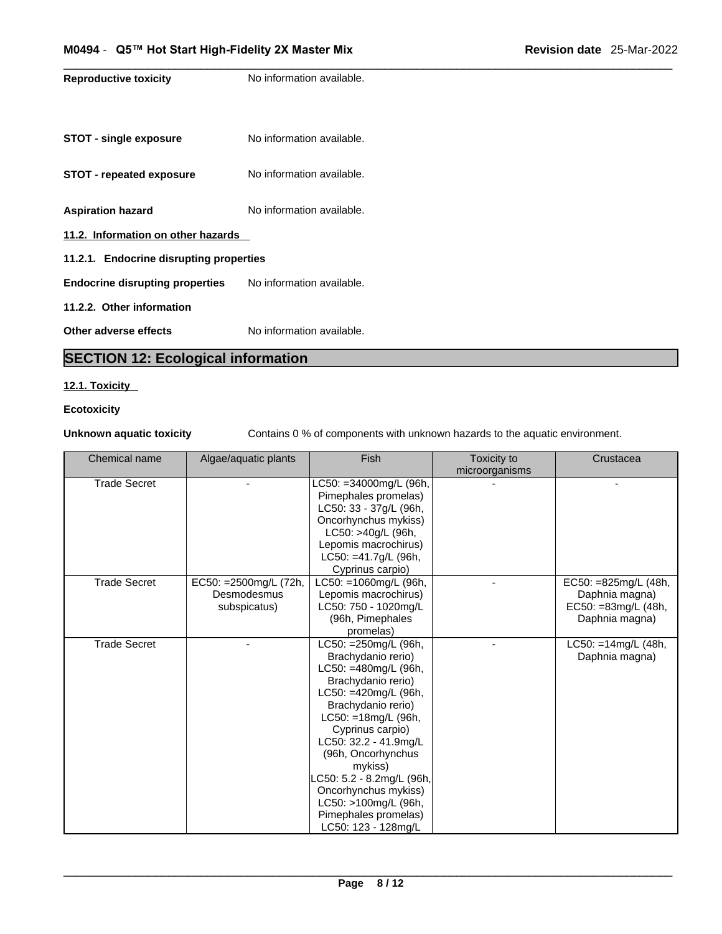**Reproductive toxicity** No information available. **STOT** - single exposure No information available. **STOT** - **repeated exposure** No information available. **Aspiration hazard** No information available. **11.2. Information on other hazards 11.2.1. Endocrine disrupting properties Endocrine disrupting properties** No information available. **11.2.2. Other information Other adverse effects** No information available. **SECTION 12: Ecological information** 

#### **12.1. Toxicity**

#### **Ecotoxicity**

**Unknown aquatic toxicity** Contains 0 % of components with unknown hazards to the aquatic environment.

| Chemical name       | Algae/aquatic plants   | Fish                      | Toxicity to<br>microorganisms | Crustacea               |
|---------------------|------------------------|---------------------------|-------------------------------|-------------------------|
| <b>Trade Secret</b> |                        | LC50: =34000mg/L (96h,    |                               |                         |
|                     |                        | Pimephales promelas)      |                               |                         |
|                     |                        | LC50: 33 - 37g/L (96h,    |                               |                         |
|                     |                        | Oncorhynchus mykiss)      |                               |                         |
|                     |                        | LC50: >40g/L (96h,        |                               |                         |
|                     |                        | Lepomis macrochirus)      |                               |                         |
|                     |                        | LC50: =41.7g/L (96h,      |                               |                         |
|                     |                        | Cyprinus carpio)          |                               |                         |
| <b>Trade Secret</b> | EC50: = 2500mg/L (72h, | LC50: =1060mg/L (96h,     |                               | EC50: =825mg/L (48h,    |
|                     | Desmodesmus            | Lepomis macrochirus)      |                               | Daphnia magna)          |
|                     | subspicatus)           | LC50: 750 - 1020mg/L      |                               | EC50: =83mg/L (48h,     |
|                     |                        | (96h, Pimephales          |                               | Daphnia magna)          |
|                     |                        | promelas)                 |                               |                         |
| <b>Trade Secret</b> |                        | LC50: = 250mg/L (96h,     |                               | $LC50: = 14$ mg/L (48h, |
|                     |                        | Brachydanio rerio)        |                               | Daphnia magna)          |
|                     |                        | LC50: =480mg/L (96h,      |                               |                         |
|                     |                        | Brachydanio rerio)        |                               |                         |
|                     |                        | LC50: =420mg/L (96h,      |                               |                         |
|                     |                        | Brachydanio rerio)        |                               |                         |
|                     |                        | LC50: =18mg/L (96h,       |                               |                         |
|                     |                        | Cyprinus carpio)          |                               |                         |
|                     |                        | LC50: 32.2 - 41.9mg/L     |                               |                         |
|                     |                        | (96h, Oncorhynchus        |                               |                         |
|                     |                        | mykiss)                   |                               |                         |
|                     |                        | _C50: 5.2 - 8.2mg/L (96h, |                               |                         |
|                     |                        | Oncorhynchus mykiss)      |                               |                         |
|                     |                        | LC50: >100mg/L (96h,      |                               |                         |
|                     |                        | Pimephales promelas)      |                               |                         |
|                     |                        | LC50: 123 - 128mg/L       |                               |                         |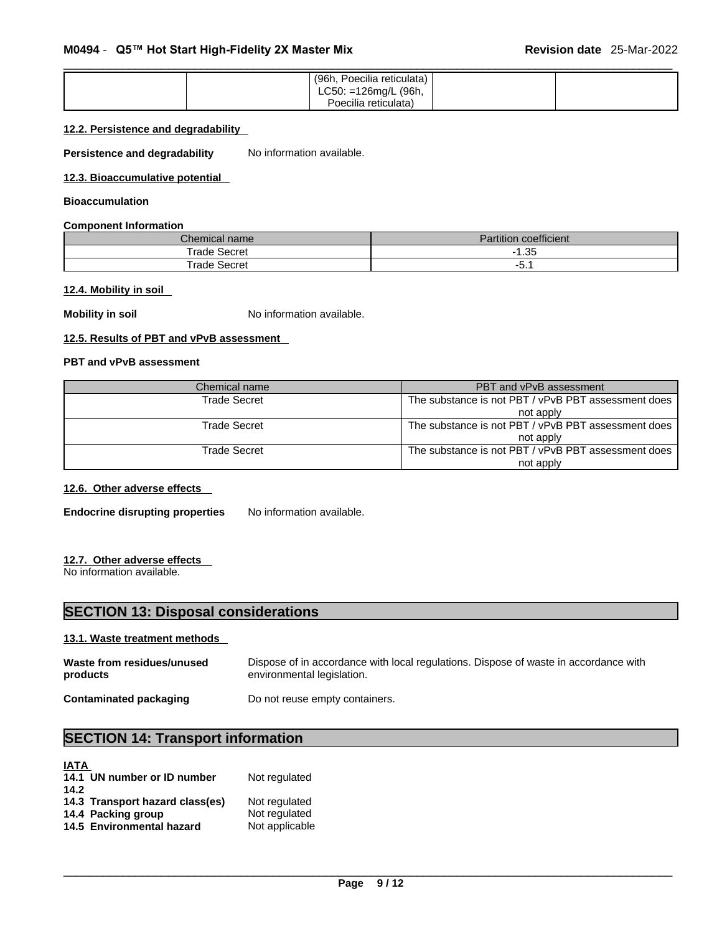| (96h, Poecilia reticulata) |  |
|----------------------------|--|
| LC50: =126mg/L (96h,       |  |
| Poecilia reticulata)       |  |

#### **12.2. Persistence and degradability**

**Persistence and degradability** No information available.

**12.3. Bioaccumulative potential**

#### **Bioaccumulation**

#### **Component Information**

| Chemical name:  | $-$<br>.<br>⊇ coefficient.<br>artition' |
|-----------------|-----------------------------------------|
| Trade Secret    | $\Omega$<br>טט.ו                        |
| ™rade<br>Secret | -                                       |

#### **12.4. Mobility in soil**

**Mobility in soil** No information available.

#### **12.5. Results of PBT and vPvB assessment**

#### **PBT and vPvB assessment**

| Chemical name       | PBT and vPvB assessment                             |
|---------------------|-----------------------------------------------------|
| <b>Trade Secret</b> | The substance is not PBT / vPvB PBT assessment does |
|                     | not apply                                           |
| Trade Secret        | The substance is not PBT / vPvB PBT assessment does |
|                     | not apply                                           |
| <b>Trade Secret</b> | The substance is not PBT / vPvB PBT assessment does |
|                     | not apply                                           |

#### **12.6. Other adverse effects**

**Endocrine disrupting properties** No information available.

#### **12.7. Other adverse effects**

No information available.

# **SECTION 13: Disposal considerations**

#### **13.1. Waste treatment methods**

| Waste from residues/unused | Dispose of in accordance with local regulations. Dispose of waste in accordance with |
|----------------------------|--------------------------------------------------------------------------------------|
| products                   | environmental legislation.                                                           |
| Contaminated packaging     | Do not reuse empty containers.                                                       |

# **SECTION 14: Transport information**

| <b>IATA</b>                     |                |
|---------------------------------|----------------|
| 14.1 UN number or ID number     | Not regulated  |
| 14.2                            |                |
| 14.3 Transport hazard class(es) | Not regulated  |
| 14.4 Packing group              | Not regulated  |
| 14.5 Environmental hazard       | Not applicable |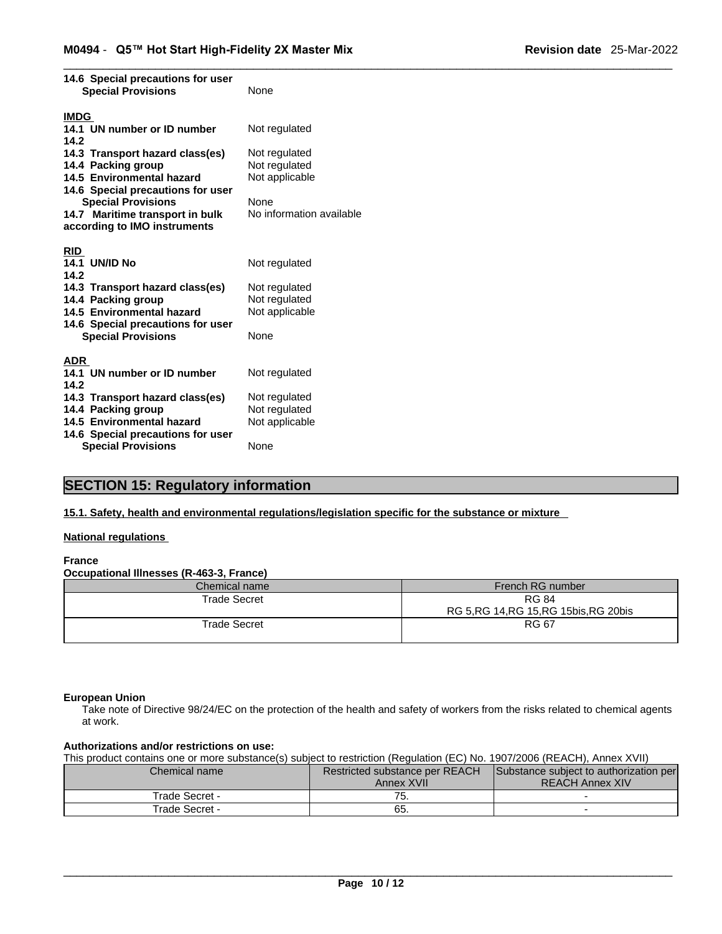| 14.6 Special precautions for user<br><b>Special Provisions</b> | None                           |  |
|----------------------------------------------------------------|--------------------------------|--|
| <b>IMDG</b>                                                    |                                |  |
| 14.1 UN number or ID number                                    | Not regulated                  |  |
| 14.2                                                           |                                |  |
| 14.3 Transport hazard class(es)                                | Not regulated                  |  |
| 14.4 Packing group                                             | Not regulated                  |  |
| 14.5 Environmental hazard                                      | Not applicable                 |  |
| 14.6 Special precautions for user                              |                                |  |
| <b>Special Provisions</b>                                      | None                           |  |
| 14.7 Maritime transport in bulk                                | No information available       |  |
| according to IMO instruments                                   |                                |  |
|                                                                |                                |  |
| <b>RID</b>                                                     |                                |  |
| <b>14.1 UN/ID No</b>                                           | Not regulated                  |  |
| 14.2                                                           |                                |  |
| 14.3 Transport hazard class(es)                                | Not regulated                  |  |
| 14.4 Packing group                                             | Not regulated                  |  |
| 14.5 Environmental hazard                                      | Not applicable                 |  |
| 14.6 Special precautions for user                              |                                |  |
| <b>Special Provisions</b>                                      | None                           |  |
|                                                                |                                |  |
| <b>ADR</b><br>14.1 UN number or ID number                      | Not regulated                  |  |
| 14.2                                                           |                                |  |
| 14.3 Transport hazard class(es)                                |                                |  |
|                                                                | Not regulated<br>Not regulated |  |
| 14.4 Packing group<br>14.5 Environmental hazard                | Not applicable                 |  |
| 14.6 Special precautions for user                              |                                |  |
| <b>Special Provisions</b>                                      | None                           |  |
|                                                                |                                |  |

### **SECTION 15: Regulatory information**

**15.1. Safety, health and environmental regulations/legislation specific for the substance or mixture**

### **National regulations**

#### **France**

**Occupational Illnesses (R-463-3, France)**

| Chemical name       | French RG number                         |
|---------------------|------------------------------------------|
| Trade Secret        | <b>RG 84</b>                             |
|                     | RG 5, RG 14, RG 15, RG 15 bis, RG 20 bis |
| <b>Trade Secret</b> | <b>RG 67</b>                             |
|                     |                                          |

#### **European Union**

Take note of Directive 98/24/EC on the protection of the health and safety of workers from the risks related to chemical agents at work.

#### **Authorizations and/or restrictions on use:**

This product contains one or more substance(s) subject to restriction (Regulation (EC) No. 1907/2006 (REACH), Annex XVII)

| Chemical name  | <b>Restricted substance per REACH</b> | Substance subject to authorization per |
|----------------|---------------------------------------|----------------------------------------|
|                | Annex XVII                            | <b>REACH Annex XIV</b>                 |
| Trade Secret - | $\overline{\phantom{a}}$<br>. ن       |                                        |
| Trade Secret - | 65.                                   |                                        |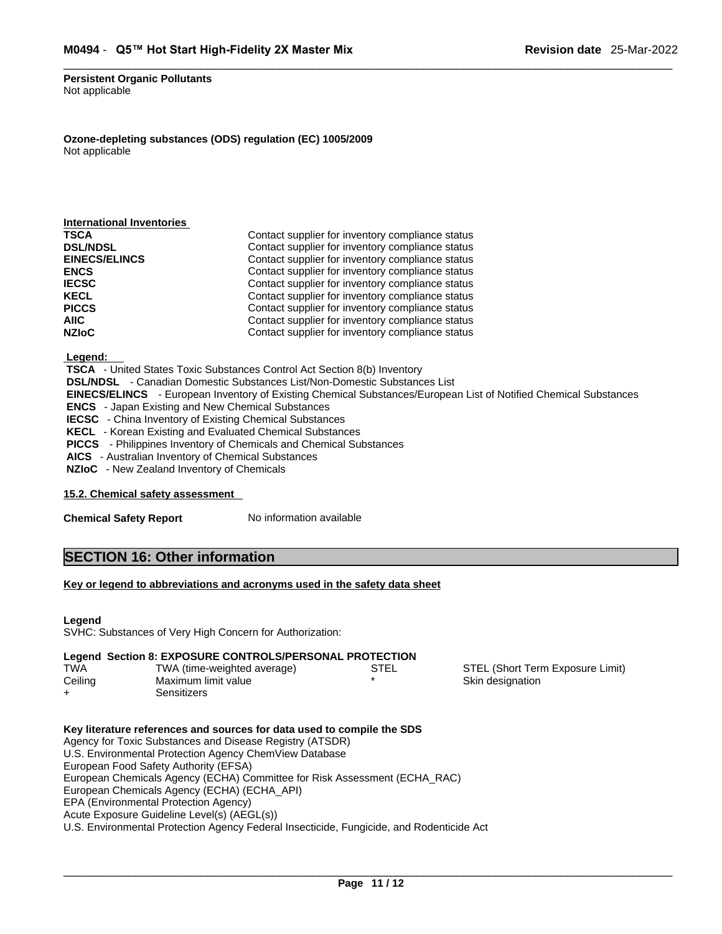#### **Persistent Organic Pollutants** Not applicable

**Ozone-depleting substances (ODS) regulation (EC) 1005/2009** Not applicable

| Contact supplier for inventory compliance status |  |
|--------------------------------------------------|--|
| Contact supplier for inventory compliance status |  |
| Contact supplier for inventory compliance status |  |
| Contact supplier for inventory compliance status |  |
| Contact supplier for inventory compliance status |  |
| Contact supplier for inventory compliance status |  |
| Contact supplier for inventory compliance status |  |
| Contact supplier for inventory compliance status |  |
| Contact supplier for inventory compliance status |  |
|                                                  |  |

 **Legend:** 

 **TSCA** - United States Toxic Substances Control Act Section 8(b) Inventory

 **DSL/NDSL** - Canadian Domestic Substances List/Non-Domestic Substances List

 **EINECS/ELINCS** - European Inventory of Existing Chemical Substances/European List of Notified Chemical Substances

 **ENCS** - Japan Existing and New Chemical Substances

**IECSC** - China Inventory of Existing Chemical Substances

 **KECL** - Korean Existing and Evaluated Chemical Substances

 **PICCS** - Philippines Inventory of Chemicals and Chemical Substances

 **AICS** - Australian Inventory of Chemical Substances

 **NZIoC** - New Zealand Inventory of Chemicals

#### **15.2. Chemical safety assessment**

**Chemical Safety Report** No information available

### **SECTION 16: Other information**

#### **Key or legend to abbreviations and acronyms used in the safety data sheet**

#### **Legend**

SVHC: Substances of Very High Concern for Authorization:

#### **Legend Section 8: EXPOSURE CONTROLS/PERSONAL PROTECTION**

| <b>TWA</b> | TWA (time-weighted average) | STEL | STEL (Short Term Exposure Limit) |
|------------|-----------------------------|------|----------------------------------|
| Ceiling    | Maximum limit value         |      | Skin designation                 |
|            | Sensitizers                 |      |                                  |

**Key literature references and sources for data used to compile the SDS** Agency for Toxic Substances and Disease Registry (ATSDR) U.S. Environmental Protection Agency ChemView Database European Food Safety Authority (EFSA) European Chemicals Agency (ECHA) Committee for Risk Assessment (ECHA\_RAC) European Chemicals Agency (ECHA) (ECHA\_API) EPA (Environmental Protection Agency) Acute Exposure Guideline Level(s) (AEGL(s)) U.S. Environmental Protection Agency Federal Insecticide, Fungicide, and Rodenticide Act